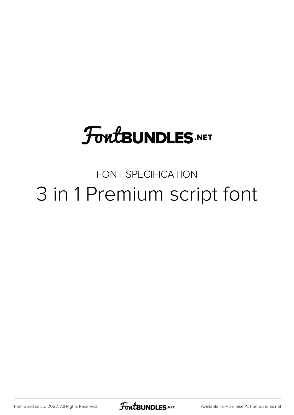## **FoutBUNDLES.NET**

### FONT SPECIFICATION 3 in 1 Premium script font

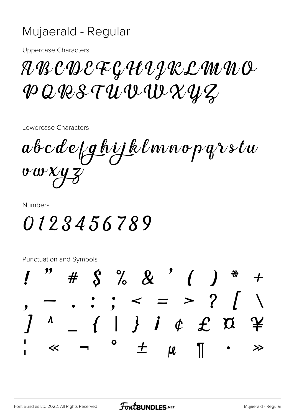#### Mujaerald - Regular

**Uppercase Characters** 

RBCDEFGHIJRLMNO PQRSTUVWXYZ

Lowercase Characters

abcdefghijklmnopgrstu  $VW$   $VV$ 

**Numbers** 

## 0123456789

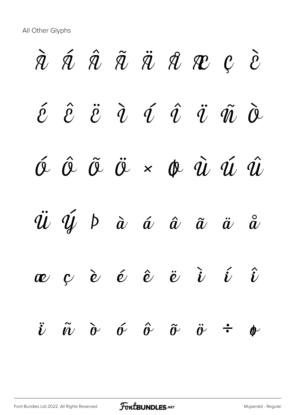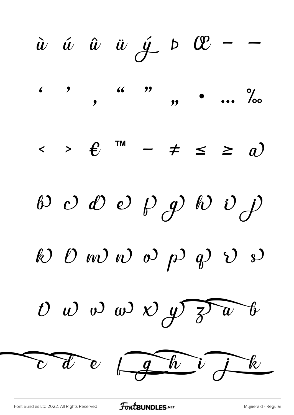$\dot{u}$   $\dot{u}$   $\dot{u}$   $\dot{y}$   $b$   $\alpha$  -

| $\sqrt{2}$ |  | $\frac{1}{2}$ $\frac{1}{2}$ $\frac{1}{2}$ $\frac{1}{2}$ $\frac{1}{2}$ $\frac{1}{2}$ $\frac{1}{2}$ $\frac{1}{2}$ $\frac{1}{2}$ $\frac{1}{2}$ $\frac{1}{2}$ $\frac{1}{2}$ $\frac{1}{2}$ $\frac{1}{2}$ $\frac{1}{2}$ $\frac{1}{2}$ $\frac{1}{2}$ $\frac{1}{2}$ $\frac{1}{2}$ $\frac{1}{2}$ $\frac{1}{2}$ $\frac{1}{2}$ |                                                |  |  |
|------------|--|---------------------------------------------------------------------------------------------------------------------------------------------------------------------------------------------------------------------------------------------------------------------------------------------------------------------|------------------------------------------------|--|--|
|            |  |                                                                                                                                                                                                                                                                                                                     | $\frac{1}{2}$ , $\frac{1}{2}$ $\frac{1}{2}$ 00 |  |  |
|            |  |                                                                                                                                                                                                                                                                                                                     |                                                |  |  |

 $\leftarrow$  >  $\epsilon$ <sup>TM</sup>  $\neq$   $\leq$   $\geq$   $a$ )

 $\omega$   $\omega$   $\omega$   $\rho$   $\rho$   $\omega$   $\omega$   $\rho$ 

 $\not\!\!\! D\not\!\!\! D\not\!\!\! D\not\!\!\! D\not\!\!\! D\not\!\!\! D\not\!\!\! D\not\!\!\! D\not\!\!\! D\not\!\!\! D\not\!\!\! D\not\!\!\! D\not\!\!\! D$ 

 $\int u \, v \, v \, v \, dv \, \sqrt{y^2 - u^2}$ 

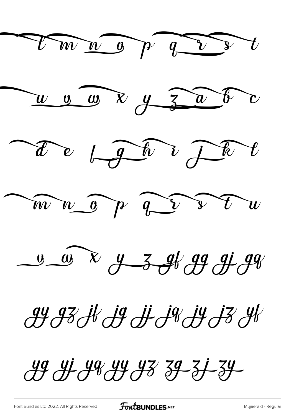Un n o p q v s t  $u_0$   $\overline{w}$   $\overline{x}$   $\overline{y}$   $\overline{z}$   $\overline{w}$   $\overline{v}$  $\widehat{d}$  of  $\widehat{d}$  of  $\widehat{d}$   $\widehat{d}$   $\widehat{d}$   $\widehat{d}$  $\widehat{w}$   $\widehat{w}$   $\widehat{g}$   $\widehat{p}$   $\widehat{q}$   $\widehat{v}$   $\widehat{v}$   $\widehat{v}$  $y_0$   $\overline{x}$   $y_3$   $\overline{y}$   $\overline{y}$   $\overline{y}$   $\overline{y}$   $\overline{y}$ 49 41 49 44 47 39 31 34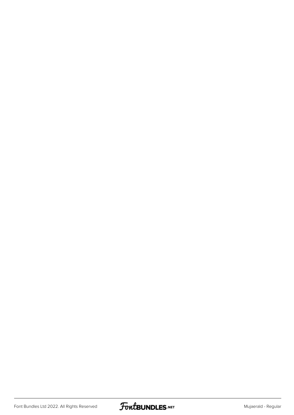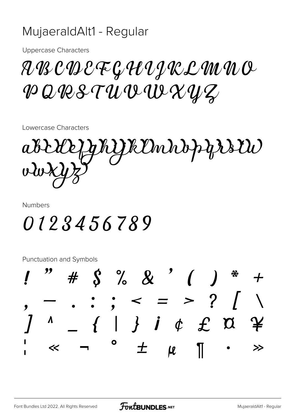#### MujaeraldAlt1 - Regular

**Uppercase Characters** 

RBCDEFGHIJKLMNO PQRSTUVWXYZ

Lowercase Characters

Yklmhbpfsstw

**Numbers** 

## 0123456789

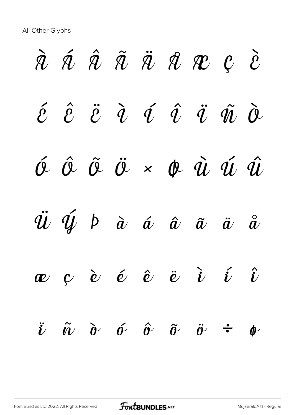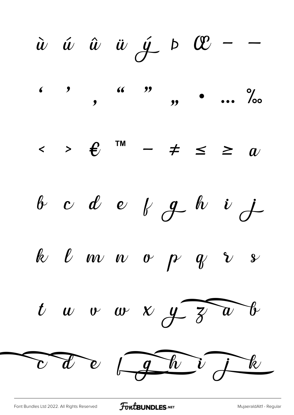$\dot{u}$   $\dot{u}$   $\dot{u}$   $\dot{y}$   $b$   $\alpha$  $\overline{\phantom{0}}$ 

| $\sqrt{2}$ |  | $\frac{1}{2}$ $\frac{1}{2}$ $\frac{1}{2}$ $\frac{1}{2}$ $\frac{1}{2}$ $\frac{1}{2}$ $\frac{1}{2}$ $\frac{1}{2}$ $\frac{1}{2}$ $\frac{1}{2}$ $\frac{1}{2}$ $\frac{1}{2}$ $\frac{1}{2}$ $\frac{1}{2}$ $\frac{1}{2}$ $\frac{1}{2}$ $\frac{1}{2}$ $\frac{1}{2}$ $\frac{1}{2}$ $\frac{1}{2}$ $\frac{1}{2}$ $\frac{1}{2}$ |           |                           |  |
|------------|--|---------------------------------------------------------------------------------------------------------------------------------------------------------------------------------------------------------------------------------------------------------------------------------------------------------------------|-----------|---------------------------|--|
|            |  |                                                                                                                                                                                                                                                                                                                     | $\bullet$ | $\bullet$ $\frac{0}{100}$ |  |

 $\leftarrow$  >  $\epsilon$ <sup>TM</sup>  $\neq$   $\leq$   $\geq$   $\alpha$ 

b c d e  $\int$  d i  $\int$ 

k  $\ell$  m n o  $\rho$   $q$   $\nu$  $\mathbf{S}$ 

 $\int u \ w \times \int \sqrt{3} u \ dx$  $t \quad w$ 



FoutBUNDLES.NET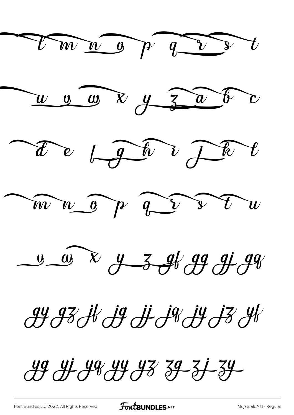V m n g p g v s t  $u$   $u$   $\overline{u}$   $x$   $y$   $\overline{z}$   $\overline{u}$   $\overline{v}$   $\overline{c}$  $\widehat{d}$  by  $\widehat{d}$  by  $\widehat{d}$  $\widehat{w}$   $\widehat{w}$   $\widehat{g}$   $\widehat{p}$   $\widehat{q}$   $\widehat{v}$   $\widehat{v}$   $\widehat{v}$   $\widehat{w}$  $y_0$   $\overline{x}$   $y_3$   $\overline{y}$   $\overline{y}$   $\overline{y}$   $\overline{y}$   $\overline{y}$ 49 41 49 44 47 39 31 34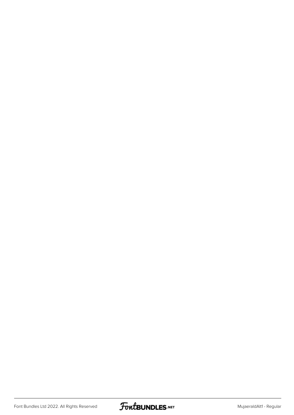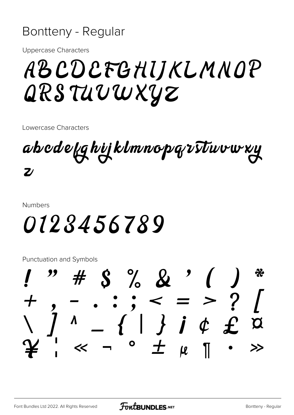

**Uppercase Characters** 

## ABCDCFGHIJKLMNOP QRS TUVWXYZ

Lowercase Characters

abcdelghijklmnopqvTtuvwxy  $\mathbf{z}$ 

**Numbers** 

## 0123456789

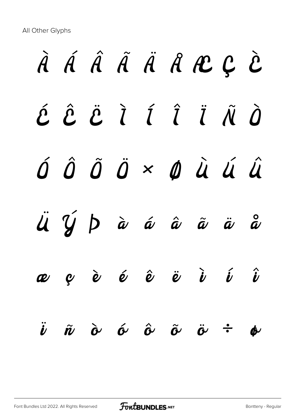# À Á Â Ã Ä Å Æ Ç È É Ê Ë Ì Í Î Ï Ñ Ò Ó Ô Õ Ö × Ø Ù Ú Û Ü Ý Þ à á â ã ä å  $e$  è é ê ë i í  $\hat{\imath}$  $\ddot{i}$   $\ddot{n}$   $\dot{\alpha}$   $\dot{\alpha}$   $\ddot{\alpha}$   $\ddot{\alpha}$   $\ddot{\alpha}$   $\ddot{\alpha}$   $\ddot{\alpha}$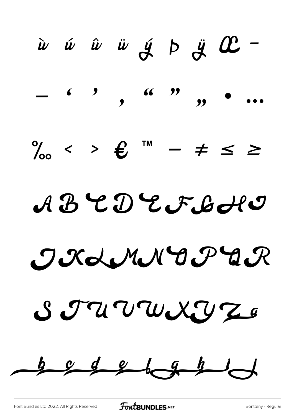$\dot{u}$   $\dot{u}$   $\dot{u}$   $\dot{y}$   $\dot{y}$   $\dot{y}$   $\alpha$  - $-$  6  $5$  , 66  $5$  , 9  $\%$  < >  $\epsilon$  <sup>TM</sup> -  $\neq$   $\leq$   $\geq$  $ABCDCJGO$ J K L M N V V V L R SJUVWXYZ bedeby this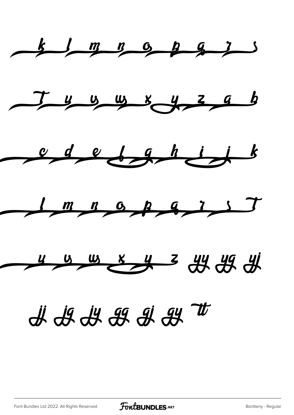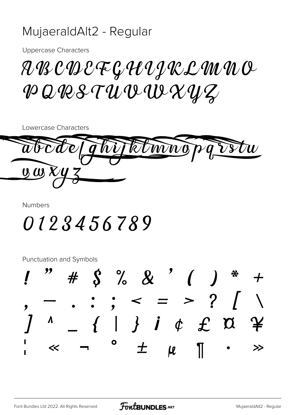#### MujaeraldAlt2 - Regular

**Uppercase Characters** 

## RBCDEFGHIJRLMNO PQRSTUVWXYZ

Lowercase Characters

<u>iktwwopq</u>  $\mathcal{\widetilde{V}}\widetilde{\mathcal{S}}\mathcal{U}\mathcal{U}$  $90<sup>o</sup>$ 

**Numbers** 

0123456789

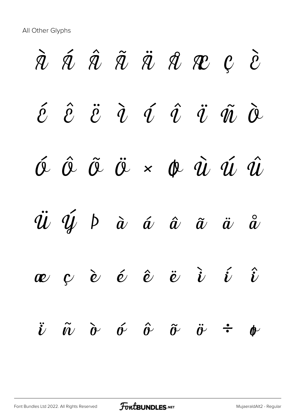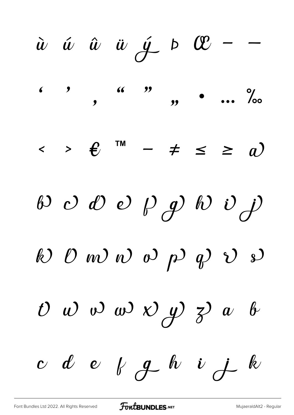$\dot{u}$   $\dot{u}$   $\dot{u}$   $\dot{\mu}$   $\dot{\mu}$   $D$   $C$  -

| $\sqrt{2}$ |  | $\frac{1}{2}$ $\frac{1}{2}$ $\frac{1}{2}$ $\frac{1}{2}$ $\frac{1}{2}$ $\frac{1}{2}$ $\frac{1}{2}$ $\frac{1}{2}$ $\frac{1}{2}$ $\frac{1}{2}$ $\frac{1}{2}$ $\frac{1}{2}$ $\frac{1}{2}$ $\frac{1}{2}$ $\frac{1}{2}$ $\frac{1}{2}$ $\frac{1}{2}$ $\frac{1}{2}$ $\frac{1}{2}$ $\frac{1}{2}$ $\frac{1}{2}$ $\frac{1}{2}$ |  |  |  |
|------------|--|---------------------------------------------------------------------------------------------------------------------------------------------------------------------------------------------------------------------------------------------------------------------------------------------------------------------|--|--|--|
|            |  |                                                                                                                                                                                                                                                                                                                     |  |  |  |
|            |  |                                                                                                                                                                                                                                                                                                                     |  |  |  |

 $\leftarrow$  >  $\epsilon$  <sup>TM</sup> -  $\neq$   $\leq$   $\geq$   $\omega$ 

 $\omega$   $\omega$   $\omega$   $\rho$   $\rho$   $\omega$   $\omega$   $\rho$ 

 $k$ )  $\ell$ )  $m$ )  $n$ )  $p$ )  $q$ )  $r$ )  $s$ )

 $(1 \omega \omega \omega x) y z^2$  $\theta$ 

 $c$  d e  $\int$   $g$  h i  $\int$  $\bm{k}$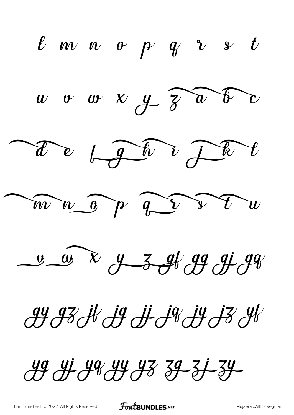$\ell$  on  $\alpha$  or  $\rho$   $q$   $\upsilon$   $s$   $t$  $w$  v  $w$   $x$   $y$   $z$   $\widehat{v}$  $\widehat{x}$  by  $\widehat{b}$  if  $\widehat{b}$ m n g p g s s l u  $y_0$   $\overline{x}$   $y_3$   $\overline{y}$   $\overline{y}$   $\overline{y}$   $\overline{y}$   $\overline{y}$ HAZH HHA WHAZ

49 41 49 44 43 39 31 34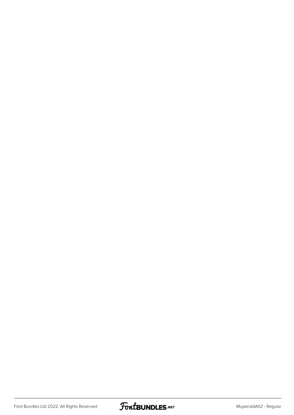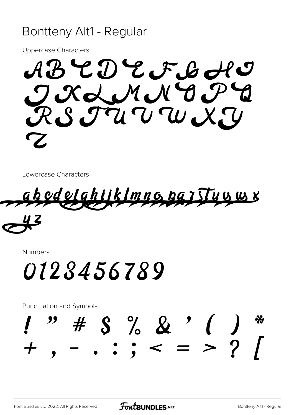#### Bontteny Alt1 - Regular

**Uppercase Characters** 



Lowercase Characters

<u>odelahiiklmng na zīlugus x</u>

**Numbers** 

0123456789

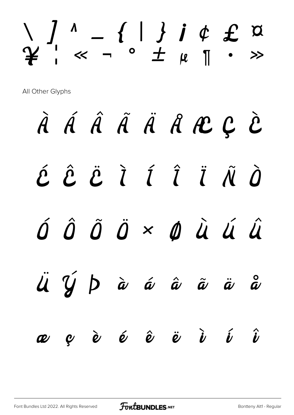$\sum_{i=1}^{n} x_i = \begin{cases} 1 & i \neq 0 \\ 1 & i \neq 0 \end{cases}$ 

# À Á Â Ã Ä Ä R P C C ÉÊËÌÍÎ ÑÒ ÓÔÕÖרÙÚÛ ÜÝÞà á â ã ä å æç è é ê ë i í î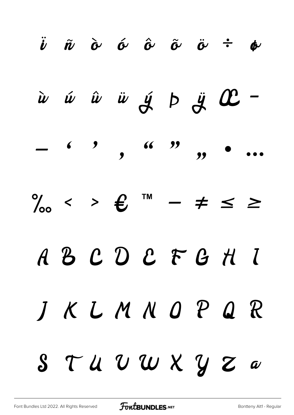|  |  | $\ddot{\theta}$ $\tilde{n}$ $\dot{\theta}$ $\hat{\theta}$ $\hat{\theta}$ $\tilde{\theta}$ $\ddot{\theta}$ $\dot{\theta}$ $\phi$ |  |  |
|--|--|---------------------------------------------------------------------------------------------------------------------------------|--|--|
|  |  | $\dot{u}$ $\dot{u}$ $\dot{u}$ $\dot{u}$ $\dot{y}$ $D$ $\ddot{y}$ $D$ -                                                          |  |  |
|  |  | $-$ 6 $,$ 6 $,$ 9 $,$ 0 $$                                                                                                      |  |  |
|  |  | $\%$ < > $\epsilon$ ™ – $\neq$ $\leq$ $\geq$                                                                                    |  |  |
|  |  | ABCDCFGHI                                                                                                                       |  |  |
|  |  | J K L M N O P Q R                                                                                                               |  |  |
|  |  | $S$ $\tau$ u v w x y $z$ a                                                                                                      |  |  |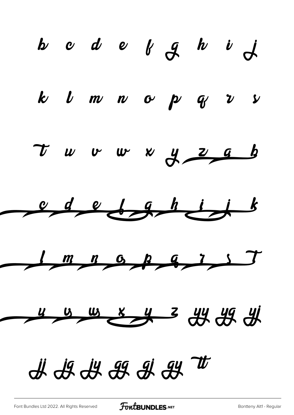$b$   $c$   $d$   $e$   $f$   $g$   $h$   $i$   $d$  $k$   $l$  $\mathbf{\omega}$   $\mathbf{\mu}$  $\mathbf{q}$  $\boldsymbol{\nu}$  $m$  $\boldsymbol{n}$  $x y z g b$  $\tau$   $\omega$  $\boldsymbol{\nu}$  $\mathbf{w}$ ode dan hij k  $lmn6p9237$ 4 9 9 8 9 3 4 4 4 9 4  $d\dot{\theta}$   $d\theta$   $d\theta$   $d\theta$   $d\theta$   $d\theta$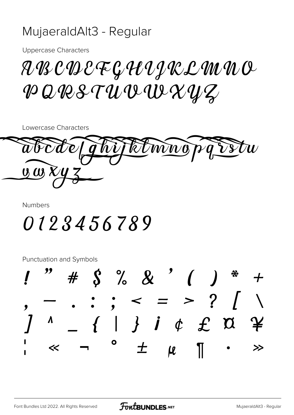### MujaeraldAlt3 - Regular

**Uppercase Characters** 

RBCDEFGHIJRLMNO PQRSTUVWXYZ

Lowercase Characters

tetwwopq  $\sigma$ 

**Numbers** 

0123456789

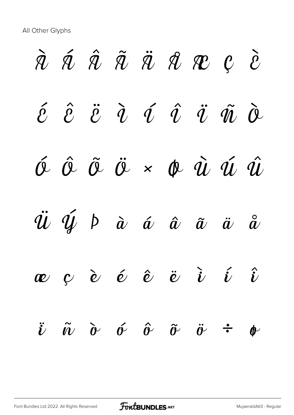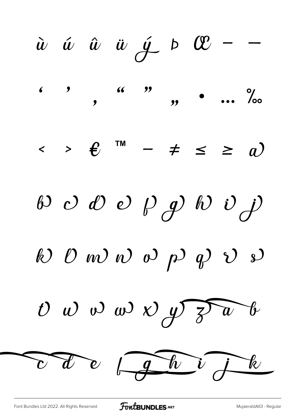$\dot{u}$   $\dot{u}$   $\dot{u}$   $\dot{y}$   $b$   $\alpha$  -

| $\sqrt{2}$ |  | $\frac{1}{2}$ $\frac{1}{2}$ $\frac{1}{2}$ $\frac{1}{2}$ $\frac{1}{2}$ $\frac{1}{2}$ $\frac{1}{2}$ $\frac{1}{2}$ $\frac{1}{2}$ $\frac{1}{2}$ $\frac{1}{2}$ $\frac{1}{2}$ $\frac{1}{2}$ $\frac{1}{2}$ $\frac{1}{2}$ $\frac{1}{2}$ $\frac{1}{2}$ $\frac{1}{2}$ $\frac{1}{2}$ $\frac{1}{2}$ $\frac{1}{2}$ $\frac{1}{2}$ |                                                |  |  |
|------------|--|---------------------------------------------------------------------------------------------------------------------------------------------------------------------------------------------------------------------------------------------------------------------------------------------------------------------|------------------------------------------------|--|--|
|            |  |                                                                                                                                                                                                                                                                                                                     | $\frac{1}{2}$ , $\frac{1}{2}$ $\frac{1}{2}$ 00 |  |  |
|            |  |                                                                                                                                                                                                                                                                                                                     |                                                |  |  |

 $\leftarrow$  >  $\epsilon$ <sup>TM</sup>  $\neq$   $\leq$   $\geq$   $a$ )

 $\omega$   $\omega$   $\omega$   $\rho$   $\rho$   $\omega$   $\omega$   $\rho$ 

 $\not\!\!\! D\not\!\!\! D\not\!\!\! D\not\!\!\! D\not\!\!\! D\not\!\!\! D\not\!\!\! D\not\!\!\! D\not\!\!\! D\not\!\!\! D\not\!\!\! D\not\!\!\! D$ 

 $\int u \, v \, v \, v \, dv \, \sqrt{y^2 - u^2}$ 

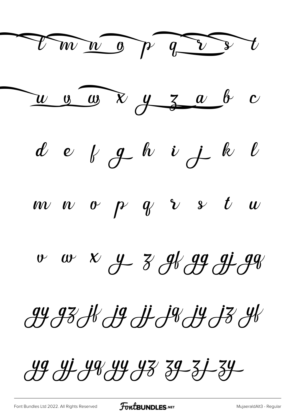V m n g p g v s t  $u \circ w \times y = a \circ b$ d e  $\int d^2h$  i j k  $\ell$  $mv$   $w$   $v$   $p$   $q$   $v$   $s$   $t$   $w$  $v$   $w$   $x$   $y$   $z$   $y$   $xy$   $y$   $y$ 

49 41 49 44 47 39 31 34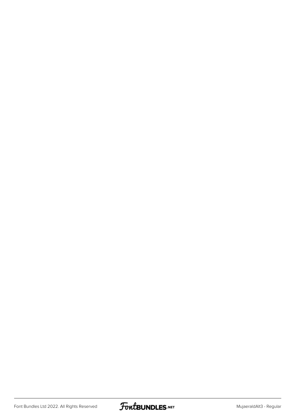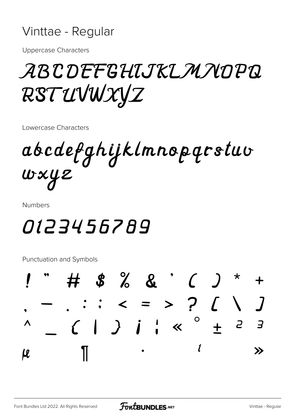

**Uppercase Characters** 

## ABCDEFGHIJKLMNOPQ RSTUVWXYZ

Lowercase Characters

abcdefghijklmnopqrstuv wxyz

**Numbers** 

### 0123456789

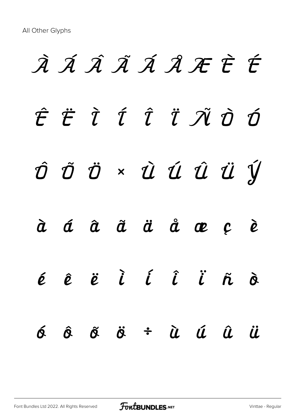# À Á Â Ã Ä Å Æ È É Ê Ë Ì Í Î Ï Ñ Ò Ó Ô Õ Ö × Ù Ú Û Ü Ý à á â ã ä å æ ç è é ê ë ì í î ï ñ ò ó ô õ ö ÷ ù ú û ü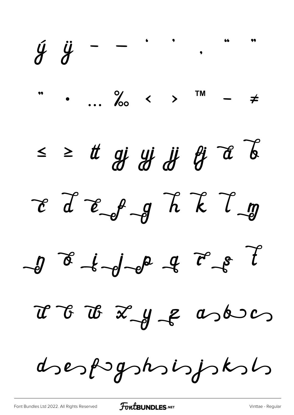$\hat{y}$   $\ddot{y}$  - - . . . . .  $\cdot$  ...  $\frac{9}{100}$  < > TM  $\neq$  $\leq$   $\geq$   $t$   $g$   $g$   $g$   $g$   $a$   $b$ r dre fg h k l m  $-984-j-88787$  $x$   $x$   $y$   $z$   $w$   $\in$ dsesfogshsisjsksh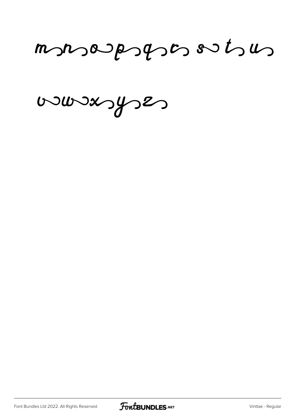$m_0n_0$  as properly as  $t_0$  us

 $0000000022$ 

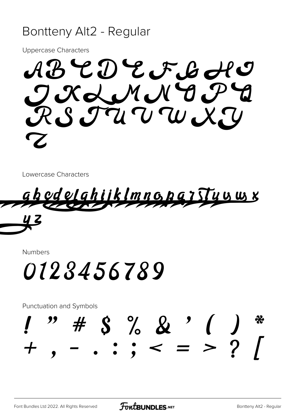#### Bontteny Alt2 - Regular

**Uppercase Characters** 



Lowercase Characters

<u>abodelahiiklmnaparstyywy</u> UZ

**Numbers** 

0123456789

Punctuation and Symbols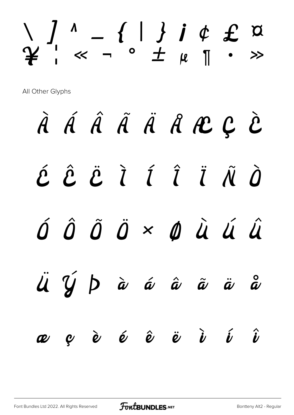$\sum_{i=1}^{n} x_i = \begin{cases} 1 & i \neq 0 \\ 1 & i \neq 0 \end{cases}$ 

# À Á Â Ã Ä Ä R P C C ÉÊËÌÍÎ ÑÒ ÓÔÕÖרÙÚÛ ÜÝÞà á â ã ä å æç è é ê ë i í î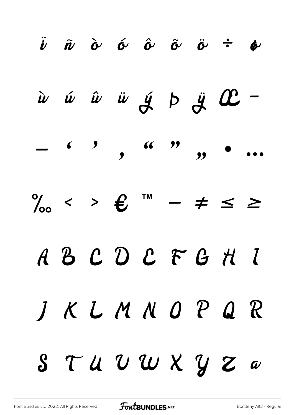|  |  | $\ddot{\theta}$ $\tilde{n}$ $\dot{\theta}$ $\hat{\theta}$ $\hat{\theta}$ $\tilde{\theta}$ $\ddot{\theta}$ $\dot{\theta}$ $\phi$ |  |  |
|--|--|---------------------------------------------------------------------------------------------------------------------------------|--|--|
|  |  | $\dot{u}$ $\dot{u}$ $\dot{u}$ $\dot{u}$ $\dot{y}$ $D$ $\ddot{y}$ $D$ -                                                          |  |  |
|  |  | $-$ 6 $,$ 6 $,$ 9 $,$ 0 $$                                                                                                      |  |  |
|  |  | $\%$ < > $\epsilon$ ™ – $\neq$ $\leq$ $\geq$                                                                                    |  |  |
|  |  | ABCDCFGHI                                                                                                                       |  |  |
|  |  | J K L M N O P Q R                                                                                                               |  |  |
|  |  | $S$ $\tau$ u v w x y $z$ a                                                                                                      |  |  |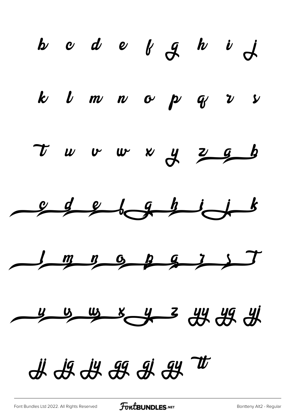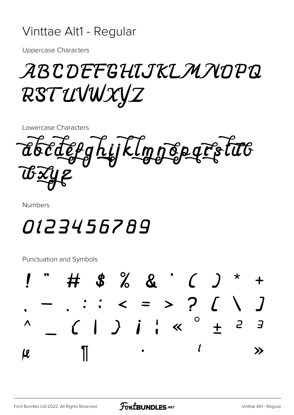#### Vinttae Alt1 - Regular

**Uppercase Characters** 

## ABCDEFGHIJKLMNOPQ RSTUVWXYZ

Lowercase Characters

hijklmnegggestæ

**Numbers** 

## 0123456789

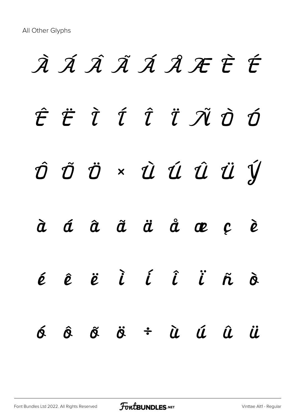# À Á Â Ã Ä Å Æ È É Ê Ë Ì Í Î Ï Ñ Ò Ó Ô Õ Ö × Ù Ú Û Ü Ý à á â ã ä å æ ç è é ê ë ì í î ï ñ ò ó ô õ ö ÷ ù ú û ü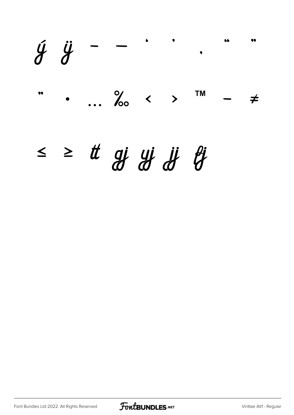66 99  $\hat{y}$   $\ddot{y}$  $\bullet$  $\frac{9}{100}$ **TM** 99  $\rightarrow$ ≠  $\leq$   $\geq$   $t$   $g$   $g$   $g$   $g$ 

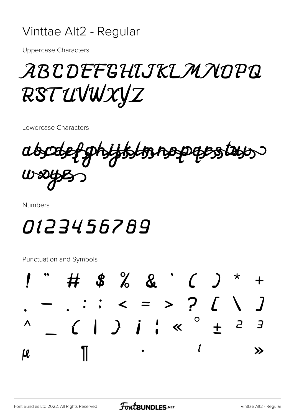#### Vinttae Alt2 - Regular

**Uppercase Characters** 

## ABCDEFGHIJKLMNOPQ RSTUVWXYZ

Lowercase Characters

jsstrenspeptsstaso

**Numbers** 

### 0123456789

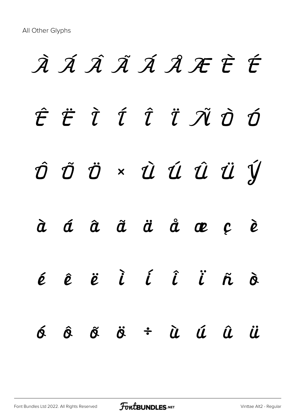# À Á Â Ã Ä Å Æ È É Ê Ë Ì Í Î Ï Ñ Ò Ó Ô Õ Ö × Ù Ú Û Ü Ý à á â ã ä å æ ç è é ê ë ì í î ï ñ ò ó ô õ ö ÷ ù ú û ü